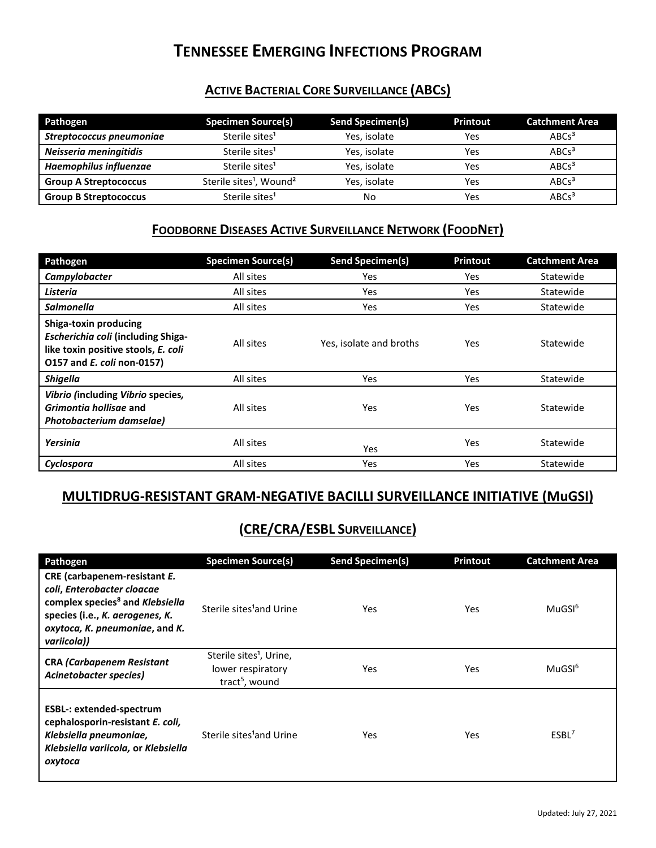# **TENNESSEE EMERGING INFECTIONS PROGRAM**

### **ACTIVE BACTERIAL CORE SURVEILLANCE (ABCS)**

| Pathogen                      | <b>Specimen Source(s)</b>                       | Send Specimen(s) | <b>Printout</b> | <b>Catchment Area</b> |
|-------------------------------|-------------------------------------------------|------------------|-----------------|-----------------------|
| Streptococcus pneumoniae      | Sterile sites <sup>1</sup>                      | Yes, isolate     | Yes             | ABC <sub>3</sub>      |
| Neisseria meningitidis        | Sterile sites <sup>1</sup>                      | Yes, isolate     | Yes             | ABC <sub>3</sub>      |
| <b>Haemophilus influenzae</b> | Sterile sites <sup>1</sup>                      | Yes, isolate     | Yes             | ABC <sub>3</sub>      |
| <b>Group A Streptococcus</b>  | Sterile sites <sup>1</sup> , Wound <sup>2</sup> | Yes, isolate     | Yes             | ABC <sub>3</sub>      |
| <b>Group B Streptococcus</b>  | Sterile sites <sup>1</sup>                      | No               | Yes             | ABC <sub>3</sub>      |

### **FOODBORNE DISEASES ACTIVE SURVEILLANCE NETWORK (FOODNET)**

| Pathogen                                                                                                                                | <b>Specimen Source(s)</b> | <b>Send Specimen(s)</b> | <b>Printout</b> | <b>Catchment Area</b> |
|-----------------------------------------------------------------------------------------------------------------------------------------|---------------------------|-------------------------|-----------------|-----------------------|
| Campylobacter                                                                                                                           | All sites                 | <b>Yes</b>              | Yes             | Statewide             |
| <b>Listeria</b>                                                                                                                         | All sites                 | Yes                     | Yes             | Statewide             |
| Salmonella                                                                                                                              | All sites                 | <b>Yes</b>              | <b>Yes</b>      | Statewide             |
| Shiga-toxin producing<br>Escherichia coli (including Shiga-<br>like toxin positive stools, E. coli<br>0157 and <i>E. coli</i> non-0157) | All sites                 | Yes, isolate and broths | <b>Yes</b>      | Statewide             |
| <b>Shigella</b>                                                                                                                         | All sites                 | Yes                     | Yes             | Statewide             |
| Vibrio (including Vibrio species,<br>Grimontia hollisae and<br>Photobacterium damselae)                                                 | All sites                 | Yes                     | Yes             | Statewide             |
| Yersinia                                                                                                                                | All sites                 | Yes                     | Yes             | Statewide             |
| Cyclospora                                                                                                                              | All sites                 | <b>Yes</b>              | Yes             | Statewide             |

### **MULTIDRUG-RESISTANT GRAM-NEGATIVE BACILLI SURVEILLANCE INITIATIVE (MuGSI)**

## **(CRE/CRA/ESBL SURVEILLANCE)**

| Pathogen                                                                                                                                                                                      | <b>Specimen Source(s)</b>                                                              | <b>Send Specimen(s)</b> | Printout   | <b>Catchment Area</b> |
|-----------------------------------------------------------------------------------------------------------------------------------------------------------------------------------------------|----------------------------------------------------------------------------------------|-------------------------|------------|-----------------------|
| CRE (carbapenem-resistant E.<br>coli, Enterobacter cloacae<br>complex species <sup>8</sup> and Klebsiella<br>species (i.e., K. aerogenes, K.<br>oxytoca, K. pneumoniae, and K.<br>variicola)) | Sterile sites <sup>1</sup> and Urine                                                   | Yes                     | Yes        | MuGSI <sup>6</sup>    |
| <b>CRA (Carbapenem Resistant</b><br>Acinetobacter species)                                                                                                                                    | Sterile sites <sup>1</sup> , Urine,<br>lower respiratory<br>tract <sup>5</sup> , wound | Yes                     | <b>Yes</b> | MuGSI <sup>6</sup>    |
| <b>ESBL-: extended-spectrum</b><br>cephalosporin-resistant E. coli,<br>Klebsiella pneumoniae,<br>Klebsiella variicola, or Klebsiella<br>oxytoca                                               | Sterile sites <sup>1</sup> and Urine                                                   | Yes                     | Yes        | ESBL <sup>7</sup>     |